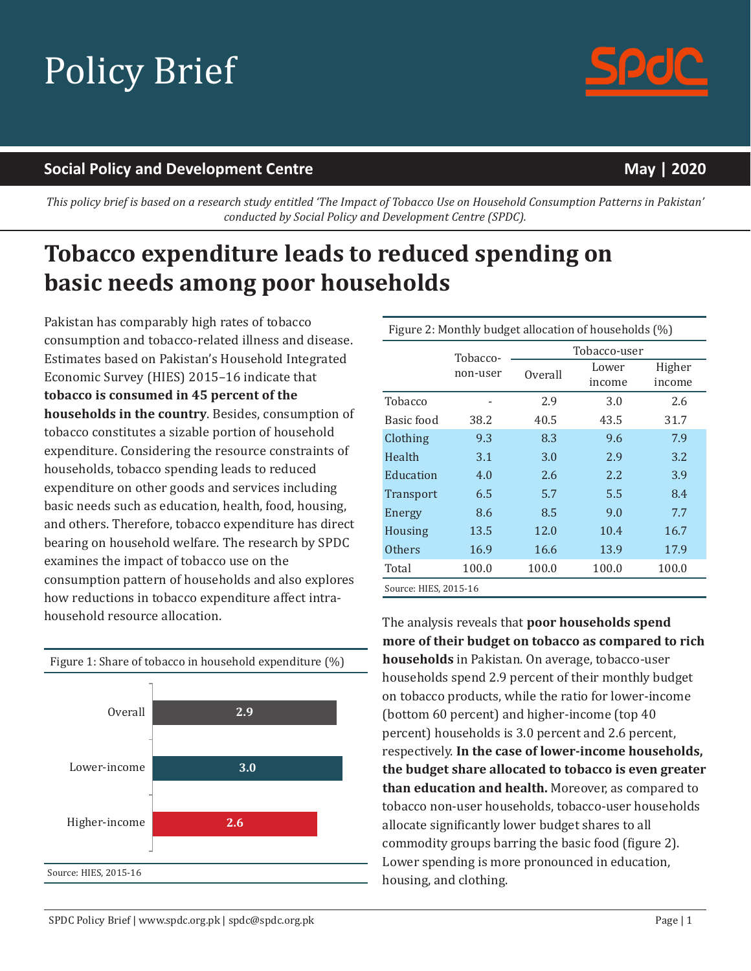# Policy Brief

#### **Social Policy and Development Centre May | 2020**

This policy brief is based on a research study entitled 'The Impact of Tobacco Use on Household Consumption Patterns in Pakistan' *conducted by Social Policy and Development Centre (SPDC).*

## **Tobacco expenditure leads to reduced spending on basic needs among poor households**

Pakistan has comparably high rates of tobacco consumption and tobacco-related illness and disease. Estimates based on Pakistan's Household Integrated Economic Survey (HIES) 2015–16 indicate that **tobacco is consumed in 45 percent of the households in the country**. Besides, consumption of tobacco constitutes a sizable portion of household expenditure. Considering the resource constraints of households, tobacco spending leads to reduced expenditure on other goods and services including basic needs such as education, health, food, housing, and others. Therefore, tobacco expenditure has direct bearing on household welfare. The research by SPDC examines the impact of tobacco use on the consumption pattern of households and also explores how reductions in tobacco expenditure affect intrahousehold resource allocation. The analysis reveals that **poor households spend**



| Figure 2: Monthly budget allocation of households (%) |                      |              |                 |                  |  |  |
|-------------------------------------------------------|----------------------|--------------|-----------------|------------------|--|--|
|                                                       | Tobacco-<br>non-user | Tobacco-user |                 |                  |  |  |
|                                                       |                      | Overall      | Lower<br>income | Higher<br>income |  |  |
| Tobacco                                               |                      | 2.9          | 3.0             | 2.6              |  |  |
| Basic food                                            | 38.2                 | 40.5         | 43.5            | 31.7             |  |  |
| Clothing                                              | 9.3                  | 8.3          | 9.6             | 7.9              |  |  |
| Health                                                | 3.1                  | 3.0          | 2.9             | 3.2              |  |  |
| Education                                             | 4.0                  | 2.6          | 2.2             | 3.9              |  |  |
| <b>Transport</b>                                      | 6.5                  | 5.7          | 5.5             | 8.4              |  |  |
| Energy                                                | 8.6                  | 8.5          | 9.0             | 7.7              |  |  |
| Housing                                               | 13.5                 | 12.0         | 10.4            | 16.7             |  |  |
| <b>Others</b>                                         | 16.9                 | 16.6         | 13.9            | 17.9             |  |  |
| Total                                                 | 100.0                | 100.0        | 100.0           | 100.0            |  |  |
| Source: HIES, 2015-16                                 |                      |              |                 |                  |  |  |

**more of their budget on tobacco as compared to rich households** in Pakistan. On average, tobacco-user households spend 2.9 percent of their monthly budget on tobacco products, while the ratio for lower-income (bottom 60 percent) and higher-income (top 40 percent) households is 3.0 percent and 2.6 percent, respectively. **In the case of lowerincome households, the budget share allocated to tobacco is even greater than education and health.** Moreover, as compared to tobacco non-user households, tobacco-user households allocate significantly lower budget shares to all commodity groups barring the basic food (figure 2). Lower spending is more pronounced in education, housing, and clothing.